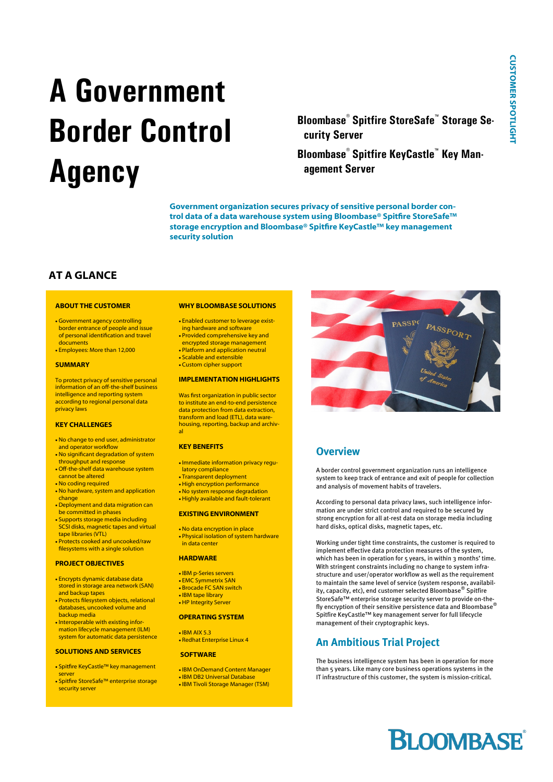# **A Government Border Control Agency**

**Bloombase® Spitfire StoreSafe™ Storage Security Server**

**Bloombase® Spitfire KeyCastle™ Key Management Server**

**Government organization secures privacy of sensitive personal border control data of a data warehouse system using Bloombase® Spitfire StoreSafe™ storage encryption and Bloombase® Spitfire KeyCastle™ key management security solution**

# **AT A GLANCE**

#### **ABOUT THE CUSTOMER**

- Government agency controlling border entrance of people and issue of personal identification and travel documents
- Employees: More than 12,000

#### **SUMMARY**

To protect privacy of sensitive personal information of an off-the-shelf business intelligence and reporting system according to regional personal data privacy laws

#### **KEY CHALLENGES**

- . No change to end user, administrator and operator workflow
- No significant degradation of system throughput and response . Off-the-shelf data warehouse system
- cannot be altered
- No coding required
- No hardware, system and application change
- Deployment and data migration can be committed in phases Supports storage media including
- SCSI disks, magnetic tapes and virtual tape libraries (VTL) Protects cooked and uncooked/raw
- filesystems with a single solution

#### **PROJECT OBJECTIVES**

- Encrypts dynamic database data stored in storage area network (SAN) and backup tapes
- Protects filesystem objects, relational databases, uncooked volume and backup media
- Interoperable with existing information lifecycle management (ILM) system for automatic data persistence

#### **SOLUTIONS AND SERVICES**

- Spitfire KeyCastle™ key management server Spitfire StoreSafe™ enterprise storage
- security server

#### **WHY BLOOMBASE SOLUTIONS**

- Enabled customer to leverage exist-
- ing hardware and software Provided comprehensive key and
- encrypted storage management
- Platform and application neutral
- Scalable and extensible Custom cipher support

#### **IMPLEMENTATION HIGHLIGHTS**

Was first organization in public sector to institute an end-to-end persistence data protection from data extraction, transform and load (ETL), data warehousing, reporting, backup and archival

#### **KEY BENEFITS**

- Immediate information privacy regulatory compliance
- Transparent deployment
- High encryption performance
- No system response degradation Highly available and fault-tolerant
- 

#### **EXISTING ENVIRONMENT**

 No data encryption in place Physical isolation of system hardware in data center

#### **HARDWARE**

- IBM p-Series servers
- EMC Symmetrix SAN Brocade FC SAN switch
- IBM tape library
- **.** HP Integrity Server

### **OPERATING SYSTEM**

 $IBM$  AIX 5.3 • Redhat Enterprise Linux 4

#### **SOFTWARE**

- IBM OnDemand Content Manager • IBM DB2 Universal Database
- IBM Tivoli Storage Manager (TSM)



### **Overview**

A border control government organization runs an intelligence system to keep track of entrance and exit of people for collection and analysis of movement habits of travelers.

According to personal data privacy laws, such intelligence information are under strict control and required to be secured by strong encryption for all at-rest data on storage media including hard disks, optical disks, magnetic tapes, etc.

Working under tight time constraints, the customer is required to implement effective data protection measures of the system, which has been in operation for 5 years, in within 3 months' time. With stringent constraints including no change to system infrastructure and user/operator workflow as well as the requirement to maintain the same level of service (system response, availability, capacity, etc), end customer selected Bloombase® Spitfire StoreSafe™ enterprise storage security server to provide on-thefly encryption of their sensitive persistence data and Bloombase® Spitfire KeyCastle™ key management server for full lifecycle management of their cryptographic keys.

## **An Ambitious Trial Project**

The business intelligence system has been in operation for more than 5 years. Like many core business operations systems in the IT infrastructure of this customer, the system is mission-critical.

# **BLOOMBASE**